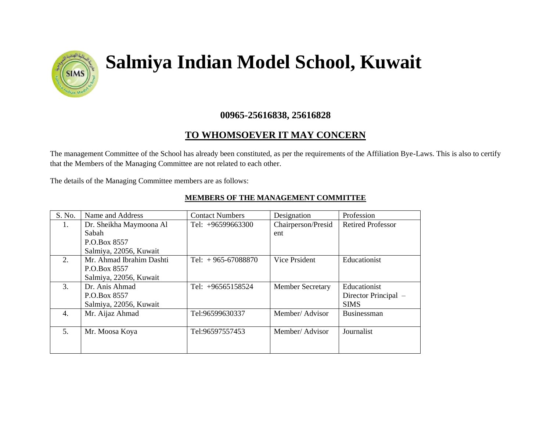

## **Salmiya Indian Model School, Kuwait**

## **00965-25616838, 25616828**

## **TO WHOMSOEVER IT MAY CONCERN**

The management Committee of the School has already been constituted, as per the requirements of the Affiliation Bye-Laws. This is also to certify that the Members of the Managing Committee are not related to each other.

The details of the Managing Committee members are as follows:

| S. No.           | Name and Address         | <b>Contact Numbers</b> | Designation             | Profession               |
|------------------|--------------------------|------------------------|-------------------------|--------------------------|
| 1.               | Dr. Sheikha Maymoona Al  | Tel: $+96599663300$    | Chairperson/Presid      | <b>Retired Professor</b> |
|                  | Sabah                    |                        | ent                     |                          |
|                  | P.O.Box 8557             |                        |                         |                          |
|                  | Salmiya, 22056, Kuwait   |                        |                         |                          |
| 2.               | Mr. Ahmad Ibrahim Dashti | Tel: $+965-67088870$   | Vice Prsident           | Educationist             |
|                  | P.O.Box 8557             |                        |                         |                          |
|                  | Salmiya, 22056, Kuwait   |                        |                         |                          |
| $\overline{3}$ . | Dr. Anis Ahmad           | Tel: $+96565158524$    | <b>Member Secretary</b> | Educationist             |
|                  | P.O.Box 8557             |                        |                         | Director Principal –     |
|                  | Salmiya, 22056, Kuwait   |                        |                         | <b>SIMS</b>              |
| 4.               | Mr. Aijaz Ahmad          | Tel:96599630337        | Member/Advisor          | <b>Businessman</b>       |
|                  |                          |                        |                         |                          |
| 5.               | Mr. Moosa Koya           | Tel:96597557453        | Member/Advisor          | Journalist               |
|                  |                          |                        |                         |                          |
|                  |                          |                        |                         |                          |

## **MEMBERS OF THE MANAGEMENT COMMITTEE**